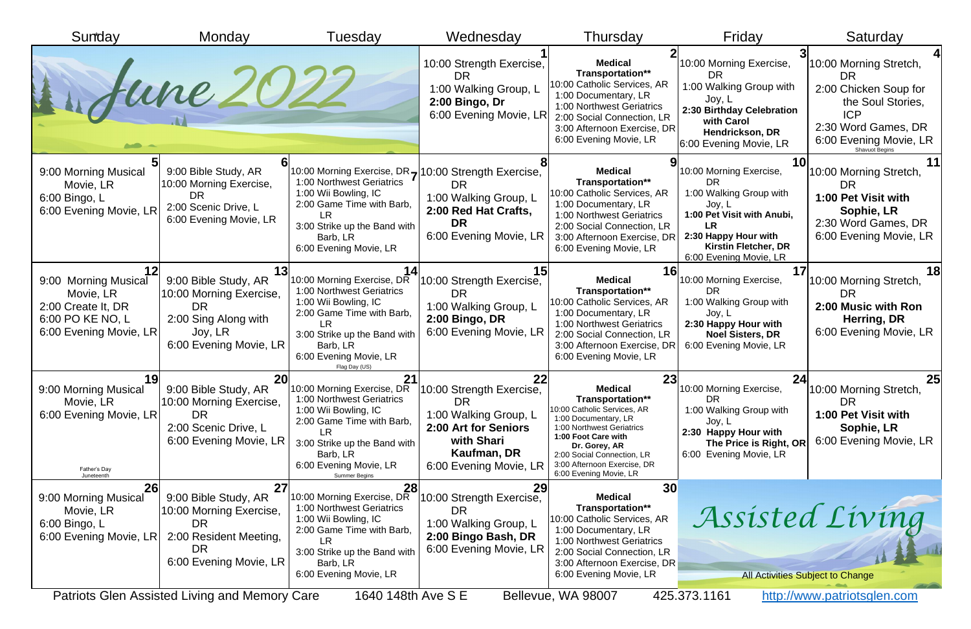| Sunday                                                                                                       | Monday                                                                                                                                                                        | Tuesdav                                                                                                                                                                                                                  | Wednesday                                                                                                                                                             | Thursday                                                                                                                                                                                                                                                    | Friday                                                                                                                                                                                         | Saturday                                                                                                                                                                  |
|--------------------------------------------------------------------------------------------------------------|-------------------------------------------------------------------------------------------------------------------------------------------------------------------------------|--------------------------------------------------------------------------------------------------------------------------------------------------------------------------------------------------------------------------|-----------------------------------------------------------------------------------------------------------------------------------------------------------------------|-------------------------------------------------------------------------------------------------------------------------------------------------------------------------------------------------------------------------------------------------------------|------------------------------------------------------------------------------------------------------------------------------------------------------------------------------------------------|---------------------------------------------------------------------------------------------------------------------------------------------------------------------------|
|                                                                                                              | Aune 202                                                                                                                                                                      |                                                                                                                                                                                                                          | 10:00 Strength Exercise,<br><b>DR</b><br>1:00 Walking Group, L<br>2:00 Bingo, Dr<br>6:00 Evening Movie, LR                                                            | <b>Medical</b><br>Transportation**<br>10:00 Catholic Services, AR<br>1:00 Documentary, LR<br>1:00 Northwest Geriatrics<br>2:00 Social Connection, LR<br>3:00 Afternoon Exercise, DR<br>6:00 Evening Movie, LR                                               | 10:00 Morning Exercise,<br>DR.<br>1:00 Walking Group with<br>Joy, L<br>2:30 Birthday Celebration<br>with Carol<br>Hendrickson, DR<br>6:00 Evening Movie, LR                                    | 10:00 Morning Stretch,<br><b>DR</b><br>2:00 Chicken Soup for<br>the Soul Stories,<br><b>ICP</b><br>2:30 Word Games, DR<br>6:00 Evening Movie, LR<br><b>Shavuot Begins</b> |
| 9:00 Morning Musical<br>Movie, LR<br>6:00 Bingo, L<br>6:00 Evening Movie, LR                                 | 9:00 Bible Study, AR<br>10:00 Morning Exercise,<br><b>DR</b><br>2:00 Scenic Drive, L<br>6:00 Evening Movie, LR                                                                | 1:00 Northwest Geriatrics<br>1:00 Wii Bowling, IC<br>2:00 Game Time with Barb,<br>LR<br>3:00 Strike up the Band with<br>Barb, LR<br>6:00 Evening Movie, LR                                                               | 10:00 Morning Exercise, DR <sub>7</sub> 10:00 Strength Exercise,<br><b>DR</b><br>1:00 Walking Group, L<br>2:00 Red Hat Crafts,<br><b>DR</b><br>6:00 Evening Movie, LR | <b>Medical</b><br>Transportation**<br>10:00 Catholic Services, AR<br>1:00 Documentary, LR<br>1:00 Northwest Geriatrics<br>2:00 Social Connection, LR<br>3:00 Afternoon Exercise, DR<br>6:00 Evening Movie, LR                                               | 10:00 Morning Exercise,<br><b>DR</b><br>1:00 Walking Group with<br>Joy, L<br>1:00 Pet Visit with Anubi,<br><b>LR</b><br>2:30 Happy Hour with<br>Kirstin Fletcher, DR<br>6:00 Evening Movie, LR | 10:00 Morning Stretch,<br>DR<br>1:00 Pet Visit with<br>Sophie, LR<br>2:30 Word Games, DR<br>6:00 Evening Movie, LR                                                        |
| 9:00 Morning Musical<br>Movie, LR<br>2:00 Create It, DR<br>6:00 PO KE NO, L<br>6:00 Evening Movie, LR        | 9:00 Bible Study, AR<br>10:00 Morning Exercise,<br><b>DR</b><br>2:00 Sing Along with<br>Joy, LR<br>6:00 Evening Movie, LR                                                     | 10:00 Morning Exercise, DR<br>1:00 Northwest Geriatrics<br>1:00 Wii Bowling, IC<br>2:00 Game Time with Barb,<br>LR.<br>3:00 Strike up the Band with<br>Barb, LR<br>6:00 Evening Movie, LR<br>Flag Day (US)               | 10:00 Strength Exercise,<br><b>DR</b><br>1:00 Walking Group, L<br>2:00 Bingo, DR<br>6:00 Evening Movie, LR                                                            | 16<br><b>Medical</b><br>Transportation**<br>10:00 Catholic Services, AR<br>1:00 Documentary, LR<br>1:00 Northwest Geriatrics<br>2:00 Social Connection, LR<br>3:00 Afternoon Exercise, DR<br>6:00 Evening Movie, LR                                         | 10:00 Morning Exercise,<br><b>DR</b><br>1:00 Walking Group with<br>Joy, L<br>2:30 Happy Hour with<br><b>Noel Sisters, DR</b><br>6:00 Evening Movie, LR                                         | 18<br>10:00 Morning Stretch,<br><b>DR</b><br>2:00 Music with Ron<br>Herring, DR<br>6:00 Evening Movie, LR                                                                 |
| 19 <sub>l</sub><br>9:00 Morning Musical<br>Movie, LR<br>6:00 Evening Movie, LR<br>Father's Day<br>Juneteenth | <b>20</b><br>9:00 Bible Study, AR<br>10:00 Morning Exercise,<br><b>DR</b><br>2:00 Scenic Drive, L<br>6:00 Evening Movie, LR                                                   | 21<br>10:00 Morning Exercise, DR<br>1:00 Northwest Geriatrics<br>1:00 Wii Bowling, IC<br>2:00 Game Time with Barb,<br>LR<br>3:00 Strike up the Band with<br>Barb, LR<br>6:00 Evening Movie, LR<br><b>Summer Begins</b>   | 22<br>10:00 Strength Exercise,<br>DR<br>1:00 Walking Group, L<br>2:00 Art for Seniors<br>with Shari<br>Kaufman, DR<br>6:00 Evening Movie, LR                          | 23<br><b>Medical</b><br>Transportation**<br>10:00 Catholic Services, AR<br>1:00 Documentary, LR<br>1:00 Northwest Geriatrics<br>1:00 Foot Care with<br>Dr. Gorey, AR<br>2:00 Social Connection, LR<br>3:00 Afternoon Exercise, DR<br>6:00 Evening Movie, LR | 24<br>10:00 Morning Exercise,<br>DR<br>1:00 Walking Group with<br>Joy, L<br>2:30 Happy Hour with<br>The Price is Right, OR<br>6:00 Evening Movie, LR                                           | 25<br>10:00 Morning Stretch,<br><b>DR</b><br>1:00 Pet Visit with<br>Sophie, LR<br>6:00 Evening Movie, LR                                                                  |
| <b>26</b><br>9:00 Morning Musical<br>Movie, LR<br>6:00 Bingo, L<br>6:00 Evening Movie, LR                    | 27<br>9:00 Bible Study, AR<br>10:00 Morning Exercise,<br><b>DR</b><br>2:00 Resident Meeting,<br>DR<br>6:00 Evening Movie, LR<br>Dotrioto Clan Acciotad Living and Mamary Caro | 28<br>10:00 Morning Exercise, DR<br>1:00 Northwest Geriatrics<br>1:00 Wii Bowling, IC<br>2:00 Game Time with Barb,<br>3:00 Strike up the Band with<br>Barb, LR<br>6:00 Evening Movie, LR<br>$16101101h$ $N_{10}$ $C$ $D$ | 29<br>10:00 Strength Exercise,<br>DR<br>1:00 Walking Group, L<br>2:00 Bingo Bash, DR<br>6:00 Evening Movie, LR                                                        | 30<br><b>Medical</b><br>Transportation**<br>10:00 Catholic Services, AR<br>1:00 Documentary, LR<br>1:00 Northwest Geriatrics<br>2:00 Social Connection, LR<br>3:00 Afternoon Exercise, DR<br>6:00 Evening Movie, LR<br>$DQ$ llowno $M/A$ 00007              | 125221121                                                                                                                                                                                      | Assisted Living<br><b>All Activities Subject to Change</b>                                                                                                                |